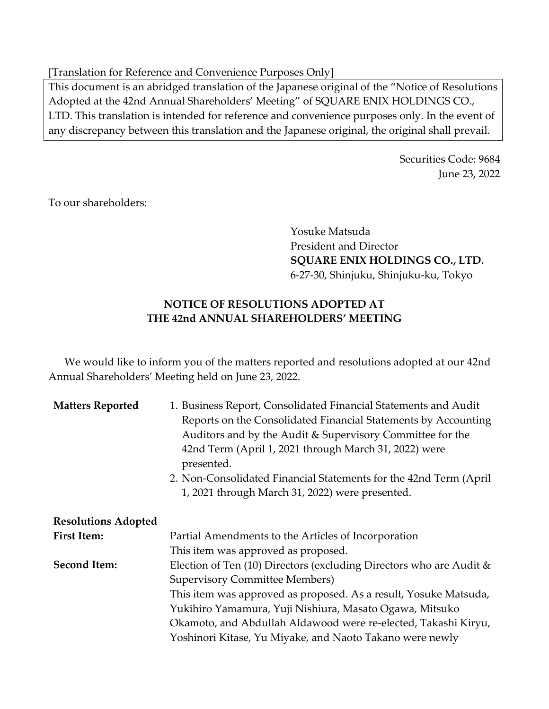[Translation for Reference and Convenience Purposes Only]

This document is an abridged translation of the Japanese original of the "Notice of Resolutions Adopted at the 42nd Annual Shareholders' Meeting" of SQUARE ENIX HOLDINGS CO., LTD. This translation is intended for reference and convenience purposes only. In the event of any discrepancy between this translation and the Japanese original, the original shall prevail.

> Securities Code: 9684 June 23, 2022

To our shareholders:

Yosuke Matsuda President and Director **SQUARE ENIX HOLDINGS CO., LTD.** 6-27-30, Shinjuku, Shinjuku-ku, Tokyo

## **NOTICE OF RESOLUTIONS ADOPTED AT THE 42nd ANNUAL SHAREHOLDERS' MEETING**

We would like to inform you of the matters reported and resolutions adopted at our 42nd Annual Shareholders' Meeting held on June 23, 2022.

| <b>Matters Reported</b>    | 1. Business Report, Consolidated Financial Statements and Audit<br>Reports on the Consolidated Financial Statements by Accounting<br>Auditors and by the Audit & Supervisory Committee for the<br>42nd Term (April 1, 2021 through March 31, 2022) were<br>presented. |
|----------------------------|-----------------------------------------------------------------------------------------------------------------------------------------------------------------------------------------------------------------------------------------------------------------------|
|                            | 2. Non-Consolidated Financial Statements for the 42nd Term (April)<br>1, 2021 through March 31, 2022) were presented.                                                                                                                                                 |
| <b>Resolutions Adopted</b> |                                                                                                                                                                                                                                                                       |
| <b>First Item:</b>         | Partial Amendments to the Articles of Incorporation                                                                                                                                                                                                                   |
|                            | This item was approved as proposed.                                                                                                                                                                                                                                   |
| <b>Second Item:</b>        | Election of Ten $(10)$ Directors (excluding Directors who are Audit &                                                                                                                                                                                                 |
|                            | <b>Supervisory Committee Members)</b>                                                                                                                                                                                                                                 |
|                            | This item was approved as proposed. As a result, Yosuke Matsuda,                                                                                                                                                                                                      |
|                            | Yukihiro Yamamura, Yuji Nishiura, Masato Ogawa, Mitsuko                                                                                                                                                                                                               |
|                            | Okamoto, and Abdullah Aldawood were re-elected, Takashi Kiryu,                                                                                                                                                                                                        |
|                            | Yoshinori Kitase, Yu Miyake, and Naoto Takano were newly                                                                                                                                                                                                              |